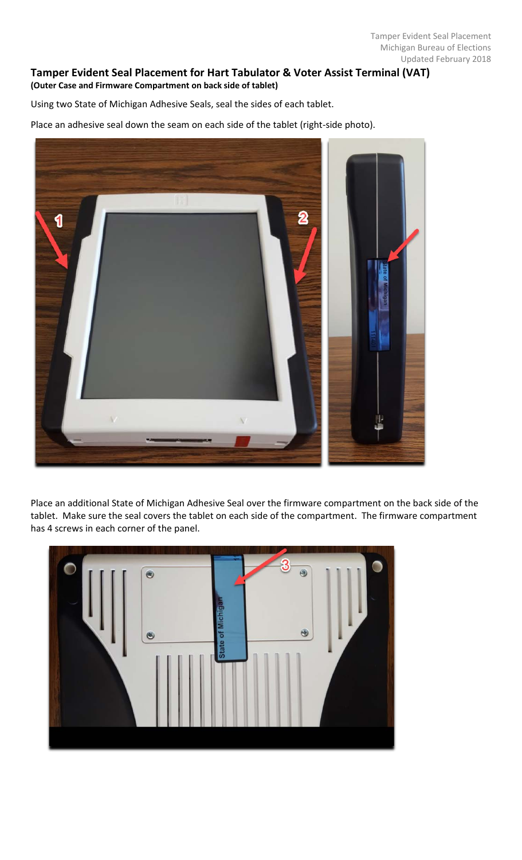## **Tamper Evident Seal Placement for Hart Tabulator & Voter Assist Terminal (VAT) (Outer Case and Firmware Compartment on back side of tablet)**

Using two State of Michigan Adhesive Seals, seal the sides of each tablet.

Place an adhesive seal down the seam on each side of the tablet (right-side photo).



Place an additional State of Michigan Adhesive Seal over the firmware compartment on the back side of the tablet. Make sure the seal covers the tablet on each side of the compartment. The firmware compartment has 4 screws in each corner of the panel.

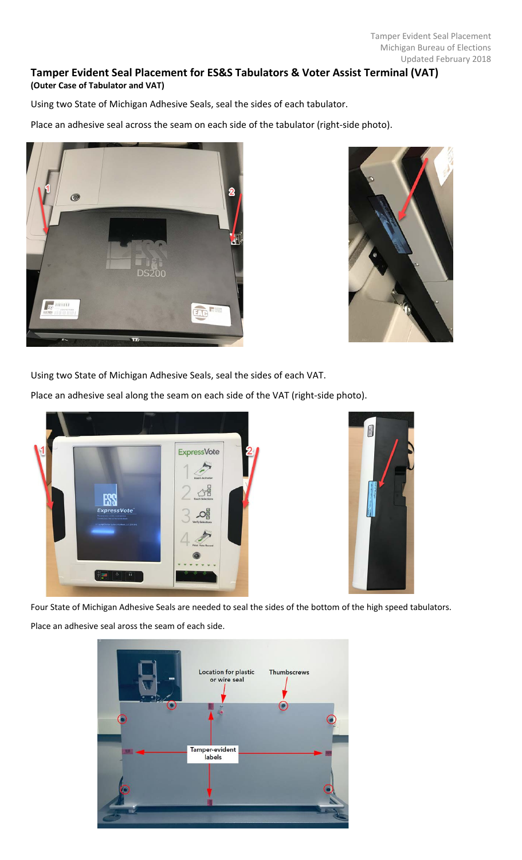## **Tamper Evident Seal Placement for ES&S Tabulators & Voter Assist Terminal (VAT) (Outer Case of Tabulator and VAT)**

Using two State of Michigan Adhesive Seals, seal the sides of each tabulator.

Place an adhesive seal across the seam on each side of the tabulator (right-side photo).





Using two State of Michigan Adhesive Seals, seal the sides of each VAT.

Place an adhesive seal along the seam on each side of the VAT (right-side photo).





Four State of Michigan Adhesive Seals are needed to seal the sides of the bottom of the high speed tabulators. Place an adhesive seal aross the seam of each side.